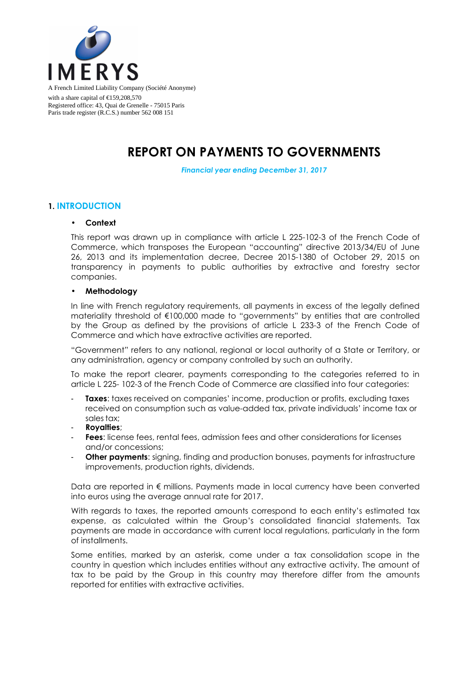

A French Limited Liability Company (Société Anonyme) with a share capital of €159,208,570 Registered office: 43, Quai de Grenelle - 75015 Paris Paris trade register (R.C.S.) number 562 008 151

# **REPORT ON PAYMENTS TO GOVERNMENTS**

*Financial year ending December 31, 2017* 

### **1. INTRODUCTION**

#### • **Context**

This report was drawn up in compliance with article L 225-102-3 of the French Code of Commerce, which transposes the European "accounting" directive 2013/34/EU of June 26, 2013 and its implementation decree, Decree 2015-1380 of October 29, 2015 on transparency in payments to public authorities by extractive and forestry sector companies.

#### • **Methodology**

In line with French regulatory requirements, all payments in excess of the legally defined materiality threshold of €100,000 made to "governments" by entities that are controlled by the Group as defined by the provisions of article L 233-3 of the French Code of Commerce and which have extractive activities are reported.

"Government" refers to any national, regional or local authority of a State or Territory, or any administration, agency or company controlled by such an authority.

To make the report clearer, payments corresponding to the categories referred to in article L 225- 102-3 of the French Code of Commerce are classified into four categories:

- **Taxes:** taxes received on companies' income, production or profits, excluding taxes received on consumption such as value-added tax, private individuals' income tax or sales tax;
- **Royalties**;
- **Fees**: license fees, rental fees, admission fees and other considerations for licenses and/or concessions;
- **Other payments:** signing, finding and production bonuses, payments for infrastructure improvements, production rights, dividends.

Data are reported in € millions. Payments made in local currency have been converted into euros using the average annual rate for 2017.

With regards to taxes, the reported amounts correspond to each entity's estimated tax expense, as calculated within the Group's consolidated financial statements. Tax payments are made in accordance with current local regulations, particularly in the form of installments.

Some entities, marked by an asterisk, come under a tax consolidation scope in the country in question which includes entities without any extractive activity. The amount of tax to be paid by the Group in this country may therefore differ from the amounts reported for entities with extractive activities.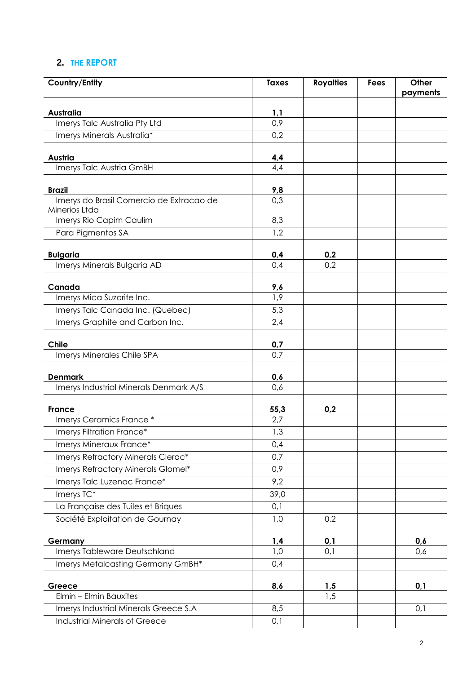## **2. THE REPORT**

| Country/Entity                                 | <b>Taxes</b> | <b>Royalties</b> | <b>Fees</b> | Other<br>payments |
|------------------------------------------------|--------------|------------------|-------------|-------------------|
| Australia                                      | 1,1          |                  |             |                   |
| Imerys Talc Australia Pty Ltd                  | 0,9          |                  |             |                   |
| Imerys Minerals Australia*                     | 0,2          |                  |             |                   |
|                                                |              |                  |             |                   |
| Austria                                        | 4,4          |                  |             |                   |
| Imerys Talc Austria GmBH                       | 4,4          |                  |             |                   |
| <b>Brazil</b>                                  | 9,8          |                  |             |                   |
| Imerys do Brasil Comercio de Extracao de       | 0,3          |                  |             |                   |
| Minerios Ltda                                  |              |                  |             |                   |
| Imerys Rio Capim Caulim                        | 8,3          |                  |             |                   |
| Para Pigmentos SA                              | 1,2          |                  |             |                   |
|                                                |              |                  |             |                   |
| <b>Bulgaria</b><br>Imerys Minerals Bulgaria AD | 0,4<br>0,4   | 0,2<br>0,2       |             |                   |
|                                                |              |                  |             |                   |
| Canada                                         | 9,6          |                  |             |                   |
| Imerys Mica Suzorite Inc.                      | 1,9          |                  |             |                   |
| Imerys Talc Canada Inc. (Quebec)               | 5,3          |                  |             |                   |
| Imerys Graphite and Carbon Inc.                | 2,4          |                  |             |                   |
|                                                |              |                  |             |                   |
| Chile                                          | 0,7          |                  |             |                   |
| Imerys Minerales Chile SPA                     | 0,7          |                  |             |                   |
| <b>Denmark</b>                                 | 0,6          |                  |             |                   |
| Imerys Industrial Minerals Denmark A/S         | 0,6          |                  |             |                   |
|                                                |              |                  |             |                   |
| <b>France</b><br>Imerys Ceramics France *      | 55,3<br>2,7  | 0,2              |             |                   |
| Imerys Filtration France*                      |              |                  |             |                   |
| Imerys Mineraux France*                        | 1,3<br>0,4   |                  |             |                   |
| Imerys Refractory Minerals Clerac*             | 0,7          |                  |             |                   |
| Imerys Refractory Minerals Glomel*             | 0,9          |                  |             |                   |
| Imerys Talc Luzenac France*                    | 9,2          |                  |             |                   |
| Imerys TC*                                     | 39,0         |                  |             |                   |
| La Française des Tuiles et Briques             | 0,1          |                  |             |                   |
| Société Exploitation de Gournay                | 1,0          | 0,2              |             |                   |
|                                                |              |                  |             |                   |
| Germany                                        | 1,4          | 0,1              |             | 0,6               |
| Imerys Tableware Deutschland                   | 1,0          | 0,1              |             | 0,6               |
| Imerys Metalcasting Germany GmBH*              | 0,4          |                  |             |                   |
|                                                |              |                  |             |                   |
| Greece<br>Elmin - Elmin Bauxites               | 8,6          | 1,5<br>1,5       |             | 0,1               |
| Imerys Industrial Minerals Greece S.A          | 8,5          |                  |             | 0,1               |
| Industrial Minerals of Greece                  | 0,1          |                  |             |                   |
|                                                |              |                  |             |                   |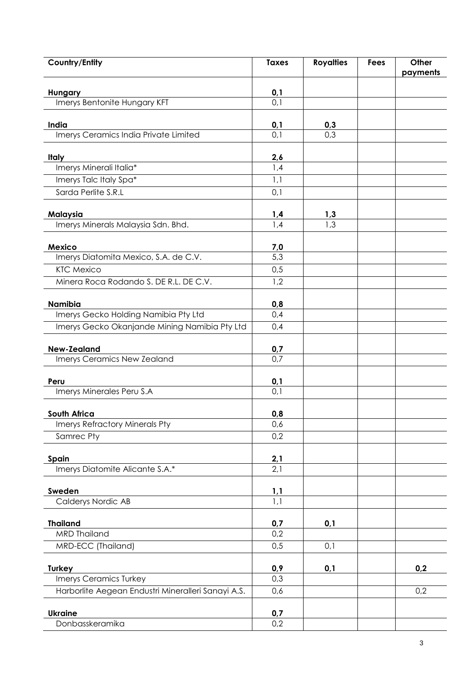| <b>Country/Entity</b>                              | <b>Taxes</b>      | <b>Royalties</b> | <b>Fees</b> | Other    |
|----------------------------------------------------|-------------------|------------------|-------------|----------|
|                                                    |                   |                  |             | payments |
| Hungary                                            | $\frac{0,1}{0,1}$ |                  |             |          |
| Imerys Bentonite Hungary KFT                       |                   |                  |             |          |
| India                                              | 0,1               | 0,3              |             |          |
| Imerys Ceramics India Private Limited              | 0,1               | 0,3              |             |          |
|                                                    |                   |                  |             |          |
| <b>Italy</b>                                       | 2,6               |                  |             |          |
| Imerys Minerali Italia*                            | 1,4               |                  |             |          |
| Imerys Talc Italy Spa*                             | 1,1               |                  |             |          |
| Sarda Perlite S.R.L                                | 0,1               |                  |             |          |
| Malaysia                                           | 1,4               | 1,3              |             |          |
| Imerys Minerals Malaysia Sdn. Bhd.                 | 1,4               | 1,3              |             |          |
|                                                    |                   |                  |             |          |
| <b>Mexico</b>                                      | 7,0               |                  |             |          |
| Imerys Diatomita Mexico, S.A. de C.V.              | 5,3               |                  |             |          |
| <b>KTC Mexico</b>                                  | 0,5               |                  |             |          |
| Minera Roca Rodando S. DE R.L. DE C.V.             | 1,2               |                  |             |          |
| Namibia                                            | 0,8               |                  |             |          |
| Imerys Gecko Holding Namibia Pty Ltd               | 0,4               |                  |             |          |
| Imerys Gecko Okanjande Mining Namibia Pty Ltd      | 0,4               |                  |             |          |
|                                                    |                   |                  |             |          |
| <b>New-Zealand</b>                                 | 0,7               |                  |             |          |
| Imerys Ceramics New Zealand                        | 0,7               |                  |             |          |
| Peru                                               | 0,1               |                  |             |          |
| Imerys Minerales Peru S.A                          | 0,1               |                  |             |          |
|                                                    |                   |                  |             |          |
| South Africa                                       | 0,8               |                  |             |          |
| <b>Imerys Refractory Minerals Pty</b>              | 0,6               |                  |             |          |
| Samrec Pty                                         | 0,2               |                  |             |          |
| Spain                                              | 2,1               |                  |             |          |
| Imerys Diatomite Alicante S.A.*                    | 2,1               |                  |             |          |
|                                                    |                   |                  |             |          |
| Sweden                                             | 1,1               |                  |             |          |
| Calderys Nordic AB                                 | $\overline{1,1}$  |                  |             |          |
| <b>Thailand</b>                                    | 0,7               | 0,1              |             |          |
| <b>MRD Thailand</b>                                | 0,2               |                  |             |          |
| MRD-ECC (Thailand)                                 | 0,5               | 0,1              |             |          |
|                                                    |                   |                  |             |          |
| <b>Turkey</b>                                      | 0,9               | 0,1              |             | 0,2      |
| Imerys Ceramics Turkey                             | 0,3               |                  |             |          |
| Harborlite Aegean Endustri Mineralleri Sanayi A.S. | 0,6               |                  |             | 0,2      |
| <b>Ukraine</b>                                     | 0,7               |                  |             |          |
| Donbasskeramika                                    | 0,2               |                  |             |          |